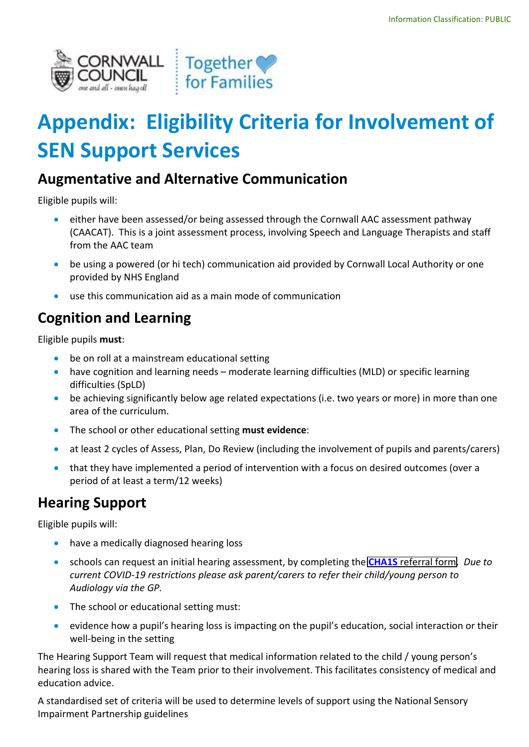

# **Appendix: Eligibility Criteria for Involvement of SEN Support Services**

#### **Augmentative and Alternative Communication**

Eligible pupils will:

- either have been assessed/or being assessed through the Cornwall AAC assessment pathway (CAACAT). This is a joint assessment process, involving Speech and Language Therapists and staff from the AAC team
- be using a powered (or hi tech) communication aid provided by Cornwall Local Authority or one provided by NHS England
- use this communication aid as a main mode of communication

# **Cognition and Learning**

Eligible pupils **must**:

- be on roll at a mainstream educational setting
- have cognition and learning needs moderate learning difficulties (MLD) or specific learning difficulties (SpLD)
- be achieving significantly below age related expectations (i.e. two years or more) in more than one area of the curriculum.
- The school or other educational setting **must evidence**:
- at least 2 cycles of Assess, Plan, Do Review (including the involvement of pupils and parents/carers)
- that they have implemented a period of intervention with a focus on desired outcomes (over a period of at least a term/12 weeks)

## **Hearing Support**

Eligible pupils will:

- have a medically diagnosed hearing loss
- schools can request an initial hearing assessment, by completing the **CHA1S** [referral form.](https://www.cornwall.gov.uk/schools-and-education/special-educational-needs/council-support-services/hearing-support/) *Due to current COVID-19 restrictions please ask parent/carers to refer their child/young person to Audiology via the GP.*
- The school or educational setting must:
- evidence how a pupil's hearing loss is impacting on the pupil's education, social interaction or their well-being in the setting

The Hearing Support Team will request that medical information related to the child / young person's hearing loss is shared with the Team prior to their involvement. This facilitates consistency of medical and education advice.

A standardised set of criteria will be used to determine levels of support using the National Sensory Impairment Partnership guidelines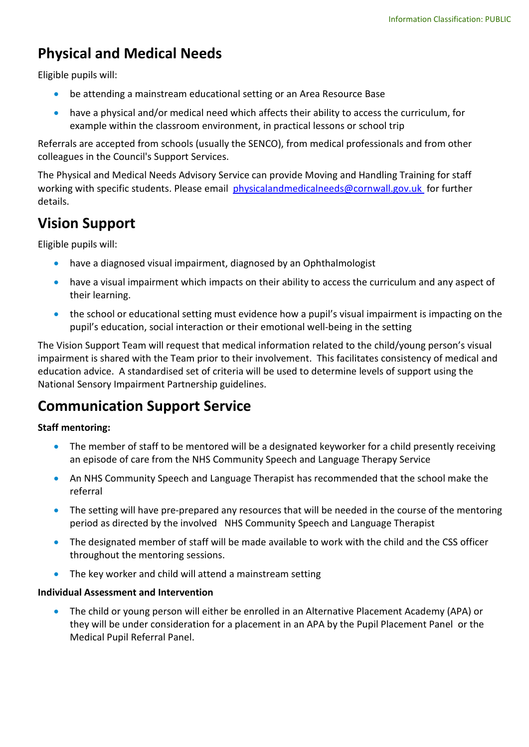## **Physical and Medical Needs**

Eligible pupils will:

- be attending a mainstream educational setting or an Area Resource Base
- have a physical and/or medical need which affects their ability to access the curriculum, for example within the classroom environment, in practical lessons or school trip

Referrals are accepted from schools (usually the SENCO), from medical professionals and from other colleagues in the Council's Support Services.

The Physical and Medical Needs Advisory Service can provide Moving and Handling Training for staff working with specific students. Please email [physicalandmedicalneeds@cornwall.gov.uk](mailto:physicalandmedicalneeds@cornwall.gov.uk) for further details.

#### **Vision Support**

Eligible pupils will:

- have a diagnosed visual impairment, diagnosed by an Ophthalmologist
- have a visual impairment which impacts on their ability to access the curriculum and any aspect of their learning.
- the school or educational setting must evidence how a pupil's visual impairment is impacting on the pupil's education, social interaction or their emotional well-being in the setting

The Vision Support Team will request that medical information related to the child/young person's visual impairment is shared with the Team prior to their involvement. This facilitates consistency of medical and education advice. A standardised set of criteria will be used to determine levels of support using the National Sensory Impairment Partnership guidelines.

## **Communication Support Service**

#### **Staff mentoring:**

- The member of staff to be mentored will be a designated keyworker for a child presently receiving an episode of care from the NHS Community Speech and Language Therapy Service
- An NHS Community Speech and Language Therapist has recommended that the school make the referral
- The setting will have pre-prepared any resources that will be needed in the course of the mentoring period as directed by the involved NHS Community Speech and Language Therapist
- The designated member of staff will be made available to work with the child and the CSS officer throughout the mentoring sessions.
- The key worker and child will attend a mainstream setting

#### **Individual Assessment and Intervention**

• The child or young person will either be enrolled in an Alternative Placement Academy (APA) or they will be under consideration for a placement in an APA by the Pupil Placement Panel or the Medical Pupil Referral Panel.